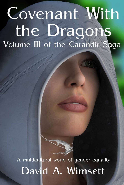# Covenant With the Dragons Volume III of the Carandir Saga



A multicultural world of gender equality David A. Wimsett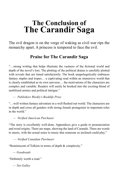## **The Conclusion of The Carandir Saga**

The evil dragon is on the verge of waking as civil war rips the monarchy apart. A princess is tempered to face the evil.

#### **Praise for The Carandir Saga**

"…strong writing that helps illustrate the vastness of the fictional world and depth of the novel's lore. The plotting of the political drama is carefully plotted with reveals that are timed satisfactorily. The book unapologetically embraces fantasy staples and tropes… a captivating read within an immersive world that is clearly established as its own universe… the motivations of the characters are complex and variable. Readers will easily be hooked into the exciting blend of mobilized armies and political intrigue."

— *Publishers Weekly's Booklife Prize*

"…well written fantasy adventure in a well flushed out world. The characters are in depth and cross all genders with strong female protagonist in important roles in the world."

— *Verified American Purchaser*

"The story is excellently well-done. Appendices give a guide to pronunciation and word origins. There are maps, showing the land of Carandir. There are words to music, with the actual notes to music that someone so inclined could play."

— *Verified Canadian Purchaser*

"Reminiscent of Tolkien in terms of depth & complexity."

— *Goodreads*

"Definitely worth a read."

— *Net Galley*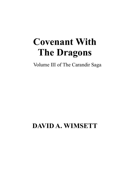## **Covenant With The Dragons**

Volume III of The Carandir Saga

## **DAVID A. WIMSETT**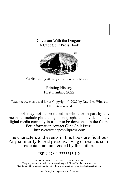#### Covenant With the Dragons A Cape Split Press Book



Published by arrangement with the author

Printing History First Printing 2022

Text, poetry, music and lyrics Copyright © 2022 by David A. Wimsett All rights reserved

This book may not be produced in whole or in part by any means to include photocopy, monograph, audio, video, or any digital media currently in use or to be developed in the future. For information contact Cape Split Press. https://www.capesplitpress.com

The characters and events in this book are fictitious. Any similarity to real persons, living or dead, is coin- cidental and unintended by the author.

#### ISBN 978-1-7775745-1-2

. Woman in hood - © Luca Oleastri | Dreamstime.com Dragon pennant and back cover dragon image - © Elenka990 | Dreamstime.com Map designed by Glendon Haddix | Streetlight Graphics, LLC | www.streetlightgraphics.com

Used through arrangement with the artists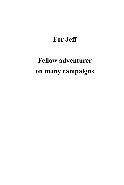## **For Jeff**

## **Fellow adventurer on many campaigns**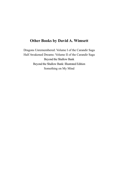#### **Other Books by David A. Wimsett**

Dragons Unremembered: Volume I of the Carandir Saga Half Awakened Dreams: Volume II of the Carandir Saga Beyond the Shallow Bank Beyond the Shallow Bank: Illustrated Edition Something on My Mind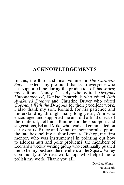#### **ACKNOWLEDGEMENTS**

In this, the third and final volume in *The Carandir Sag*a, I extend my profound thanks to everyone who has supported me during the production of this series; my editors, Nancy Cassidy who edited *Dragons Unremembered*, Denise Pysarchuk who edited *Half Awakened Dreams* and Christine Driver who edited *Covenant With the Dragons* for their excellent work. I also thank my son, Ronald, for his patience and understanding through many long years, Ann who encouraged and supported me and did a final check of the material, Jeff and Randie for their support and suggestions, Ed and Mike who read and commented on early drafts, Bruce and Anna for their moral support, the late best-selling author Leonard Bishop, my first mentor, who was instrumental in pointing out how to address nuts and bolts problems, the members of Leonard's weekly writing group who continually pushed me to be my best and the members of the Squaw Valley Community of Writers workshops who helped me to polish my work. Thank you all.

> David A. Wimsett Nova Scotia July 2022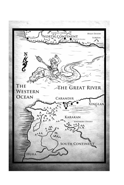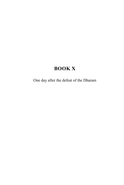### **BOOK X**

One day after the defeat of the Dharam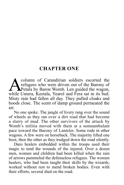#### **CHAPTER ONE**

Column of Carandirian soldiers escorted the<br>refugees who were driven out of the Barony of<br>Petala by Baron Womb. Len guided the wagon,<br>while Umera. Keetala. Yearol and Fera sat in its bed. refugees who were driven out of the Barony of Petala by Baron Womb. Len guided the wagon, while Umera, Keetala, Yearol and Fera sat in its bed. Misty rain had fallen all day. They pulled cloaks and hoods close. The scent of damp ground permeated the air.

No one spoke. The jangle of livery rang over the sound of wheels as they ran over a dirt road that had become a slurry of mud. The other survivors of the attack by Womb's militia moved with them at a somnambulant pace toward the Barony of Lanteler. Some rode in other wagons. A few were on horseback. The majority lifted one boot, then the other as they trudged down the road silently.

Daro healers embedded within the troops used their magic to tend the wounds of the injured. Over a dozen men, women and children had been killed when the rain of arrows pummeled the defenseless refugees. The women healers, who had been taught their skills by the wizards, worked without rest to mend broken bodies. Even with their efforts, several died on the road.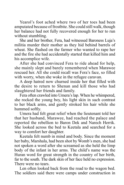Yearol's foot ached where two of her toes had been amputated because of frostbite. She could still walk, though her balance had not fully recovered enough for her to run without stumbling.

She and her brother, Fera, had witnessed Baroness Luja's militia murder their mother as they hid behind barrels of wheat. She flashed on the farmer who wanted to rape her and the fire she had accidentally started that killed him and his accomplice wife.

After she had convinced Fera to ride ahead for help, she mainly slept and barely remembered when Marawee rescued her. All she could recall was Fera's face, so filled with worry, when she woke in the refugee caravan.

A deep hatred now churned inside her that filled with the desire to return to Shenan and kill those who had slaughtered her friends and family.

Fera often crawled into Umera's lap. When he whimpered, she rocked the young boy, his light skin in such contrast to her black arms, and gently stroked his hair while she hummed softly.

Umera had felt great relief when the lieutenant told her that her husband, Marawee, had reached the palace and reported the rebellion to Baron Dek and Narech Herrik. She looked across the bed to Keetala and searched for a way to comfort her daughter.

Keetala felt numb in mind and body. Since the moment her baby, Marshala, had been shot by Womb's men, she had not spoken a word after she screamed as she held the limp body of the infant in her arms. The child's name was the Huran word for great strength in the country of her birth, far to the south. The dark skin of her face held no expression. There were no tears.

Len often looked back from the road to the wagon bed. The soldiers said there were camps under construction in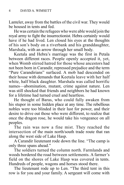Lanteler, away from the battles of the civil war. They would be housed in tents and fed.

He was certain the refugees who were able would join the royal army to fight the insurrectionist. Hebra certainly would have if he had lived. Len closed his eyes at the thoughts of his son's body on a riverbank and his granddaughter, Marshala, with an arrow through her small body.

Keetala and Hebra's marriage was the first in Petala between different races. People openly accepted it, yet, when Womb stirred hatred for those whose ancestors had not been born in Carandir, repressed prejudice and the term "Pure Carandirians" surfaced. A mob had descended on their house with demands that Keetala leave with her half white, half black daughter. Marshala was called horrific names—abomination, mutant, crime against nature. Len was still shocked that friends and neighbors he had known for a lifetime had turned cruel and heartless.

He thought of Baras, who could fully awaken from his stupor in some hidden place at any time. The rebellious nobles were too blinded in their lust for power, and their desire to drive out those who were different, to realize that once the dragon rose, he would take his vengeance on all peoples.

The rain was now a fine mist. They reached the intersection of the main north/south trade route that ran along the west side of Lake Hasp.

A Carandir lieutenant rode down the line. "The camp is only three spans ahead."

The soldiers turned the column north. Farmlands and woods bordered the road between settlements. A farmer's field on the shores of Lake Hasp was covered in tents. Hundreds of people, wagons and horses stood there.

The lieutenant rode up to Len. "The third tent in this row is for you and your family. A sergeant will come with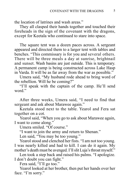the location of latrines and wash areas."

They all clasped their hands together and touched their foreheads in the sign of the covenant with the dragons, except for Keetala who continued to stare into space.

The square tent was a dozen paces across. A sergeant appeared and directed them to a larger tent with tables and benches. "This commissary is for you and several others. There will be three meals a day at sunrise, brightnail and sunset. Wash basins are just outside. This is temporary. A permanent camp is being constructed across Lake Hasp in Varda. It will be as far away from the war as possible."

Umera said, "My husband rode ahead to bring word of the rebellion. Will he be coming?"

"I'll speak with the captain of the camp. He'll send word."

After three weeks, Umera said, "I need to find that sergeant and ask about Marawee again."

Keetala stood next to the table. Yearol and Fera sat together on a cot.

Yearol said, "When you go to ask about Marawee again, I want to come along."

Umera smiled. "Of course."

"I want to join the army and return to Shenan."

Len said, "You may be too young."

Yearol stood and clenched her fists. "I am not too young. I was nearly killed and had to kill. I can do it again. My mother's death must be avenged. I'll slit Luja's throat myself."

Len took a step back and raised his palms. "I apologize. I don't doubt you can fight."

Fera said, "I'll go too."

Yearol looked at her brother, then put her hands over her face. "I'm sorry."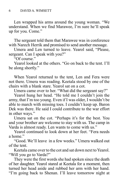Len wrapped his arms around the young woman. "We understand. When we find Marawee, I'm sure he'll speak up for you. Come."

The sergeant told them that Marawee was in conference with Narech Herrik and promised to send another message.

Umera and Len turned to leave. Yearol said, "Please, sergeant. Can I speak with you?"

"Of course."

Yearol looked at the others. "Go on back to the tent. I'll be along shortly."

When Yearol returned to the tent, Len and Fera were not there. Umera was reading. Keetala stood by one of the chairs with a blank stare. Yearol sat on a cot.

Umera came over to her. "What did the sergeant say?"

Yearol hung her head. "He told me I couldn't join the army, that I'm too young. Even if I was older, I wouldn't be able to march with missing toes. I couldn't keep up. Baron Dek was there. He said I could contribute to the war effort in other ways."

Umera sat on the cot. "Perhaps it's for the best. You and your brother are welcome to stay with us. The camp in Varda is almost ready. Len wants to come with us."

Yearol continued to look down at her feet. "Fera needs a home"

"Good. We'll leave in a few weeks." Umera walked out of the tent.

Keetala came over to the cot and sat down next to Yearol. "Will you go to Varda?"

They were the first words she had spoken since the death of her daughter. Yearol stared at Keetala for a moment, then turned her head aside and rubbed her arm with her hand. "I'm going back to Shenan. I'll leave tomorrow night at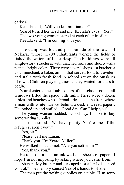darknail."

Keetala said, "Will you kill militiamen?" Yearol turned her head and met Keetala's eyes. "Yes." The two young women stared at each other in silence. Keetala said, "I'm coming with you."

The camp was located just outside of the town of Nekara, whose 1,700 inhabitants worked the fields or fished the waters of Lake Hasp. The buildings were all single-story structures with thatched roofs and stucco walls painted bright colors. There were several shops—a butcher, a cloth merchant, a baker, an inn that served food to travelers and stalls with fresh food. A school sat on the outskirts of town. Children played games as they waited for class to begin.

Yearol entered the double doors of the school room. Tall windows filled the space with light. There were a dozen tables and benches whose broad sides faced the front where a man with white hair sat behind a desk and read papers. He looked up and smiled. "Good day. Can I help you?"

The young woman nodded. "Good day. I'd like to buy some writing supplies."

The man stood. "We have plenty. You're one of the refugees, aren't you?"

"Yes, sir."

"Please, call me Lanan."

"Thank you. I'm Yearol Miller."

He walked to a cabinet. "Are you settled in?"

"Yes, thank you."

He took out a pen, an ink well and sheets of paper. "I hope I'm not imposing by asking where you came from."

"Shenan. My brother and I escaped just after Luja seized control." The memory caused Yearol's hands to shake.

The man put the writing supplies on a table. "I'm sorry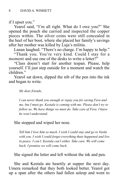if I upset you."

Yearol said, "I'm all right. What do I owe you?" She opened the pouch she carried and inspected the copper pieces within. The silver coins were still concealed in the heel of her boot, where she placed her family's savings after her mother was killed by Luja's militia.

Lanan laughed. "There's no charge. I'm happy to help."

"Thank you. You're very kind. Could I stay for a moment and use one of the desks to write a letter?"

"Class doesn't start for another tespan. Please, help yourself. I'll just step outside for a moment and watch the children."

Yearol sat down, dipped the nib of the pen into the ink and began to write.

*My dear friends,*

*I can never thank you enough or repay you for saving Fera and me, but I must go. Keetala is coming with me. Please don't try to follow us. We have things we must do. Take care of Fera. I know he won't understand.*

#### She stopped and wiped her nose.

*Tell him I love him so much. I wish I could stay and go to Varda with you. I wish I could forget everything thats happened and live in peace. I can't. Keetala can't either. Take care. We will come back. I promise we will come back.*

She signed the letter and left without the ink and pen.

She and Keetala ate heartily at supper the next day. Umera remarked that they both looked better. Yearol got up a span after the others had fallen asleep and went to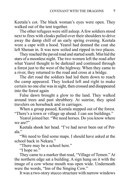Keetala's cot. The black woman's eyes were open. They walked out of the tent together.

The other refugees were still asleep. A few soldiers stood next to fires with cloaks pulled over their shoulders to drive away the damp chill of an early spring evening. Keetala wore a cape with a hood. Yearol had donned the coat she left Shenan in. It was now soiled and ripped in two places.

They reached the paved road and started south. Mist hid the stars of a moonless night. The two women left the road after what Yearol thought to be darknail and continued through a forest just to the west of the highway. When they came to a river, they returned to the road and cross at a bridge.

The dirt road the soldiers had led them down to reach the camp appeared. They looked left and right to make certain no one else was in sight, then crossed and disappeared into the forest again

False dawn brought a glow to the land. They walked around trees and past shrubbery. At sunrise, they spied travelers on horseback and in carriages.

When a group passed, Keetala stepped out of the forest. "There's a town or village up ahead. I can see buildings."

Yearol joined her. "We need horses. Do you know where we are?"

Keetala shook her head. "I've had never been out of Petala."

"We need to find some maps. I should have asked at the school back in Nekara."

"There may be a school here."

"I hope so."

They came to a marker that read, "Village of Temen." At the northern edge sat a building. A sign hung on it with the image of a cow whose mouth was open wide. Underneath were the words, "Inn of the Singing Cow."

It was a two-story stucco structure with narrow windows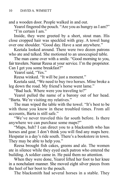and a wooden door. People walked in and out.

Yearol fingered the pouch. "Are you as hungry as I am?" "I'm certain I am."

Inside, they were greeted by a short, stout man. His close cropped hair was speckled with gray. A towel hung over one shoulder. "Good day. Have a seat anywhere."

Keetala looked around. There were two dozen patrons who ate and talked. She motioned to an unoccupied table.

The man came over with a smile. "Good morning to you, fair travelers. Namar Reesa at your service. I'm the proprietor. Can I get you some breakfast?"

Yearol said, "Yes."

Reesa winked. "It will be just a moment."

Keetala said, "We need to buy two horses. Mine broke a leg down the road. My friend's horse went lame."

"Bad luck. Where were you traveling to?"

Yearol pulled the name of a barony out of her head. "Barta. We're visiting my relatives."

The man wiped the table with the towel. "It's best to be with those you know in these troubled times. From all accounts, Barta is still safe."

"We've never traveled this far south before. Is there anywhere we can purchase some maps?"

"Maps, huh? I can direct you to a blacksmith who has horses and gear. I don't think you will find any maps here. Hespatar is a day's ride south. There's a bookstore in town. They may be able to help you."

Reesa brought fish cakes, greens and ale. The women ate in silence while they eyed each patron who entered the building. A soldier came in. He paid them no attention.

When they were done, Yearol lifted her foot to her knee in a nonchalant manner. She moved eight silver pieces from the heel of her boot to the pouch.

The blacksmith had several horses in a stable. They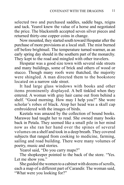selected two and purchased saddles, saddle bags, reigns and tack. Yearol knew the value of a horse and negotiated the price. The blacksmith accepted seven silver pieces and returned thirty-one copper coins in change.

Now mounted, they started south toward Hespatar after the purchase of more provisions at a local stall. The mist burned off before brightnail. The temperature turned warmer, as an early spring day should in the southern part of the monarchy. They kept to the road and mingled with other travelers.

Hespatar was a good size town with several side streets and many buildings, some of brick and others of wood or stucco. Though many roofs were thatched, the majority were shingled. A man directed them to the bookstore located on a narrow side street.

It had large glass windows with books and other items prominently displayed. A bell tinkled when they entered. A woman with gray hair came out from behind a shelf. "Good morning. How may I help you?" She wore scholar's robes of black. Atop her head was a skull cap embroidered with the images of birds.

Keetala was amazed by the collection of bound books. Marawee had taught her to read. She owned many books back in Petala. They seemed like a small pile in her mind now as she ran her hand over the spines of several volumes on a shelf and took in a deep breath. They covered subjects that ranged from cooking to medicine, farming, sailing and road building. There were many volumes of poetry, music and stories.

Yearol said, "Do you carry maps?"

The shopkeeper pointed to the back of the store. "Yes. Let me show you."

She guided the women to a cabinet with dozens of scrolls, each a map of a different part of Carandir. The woman said, "What were you looking for?"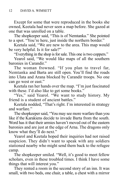Except for some that were reproduced in the books she owned, Keetala had never seen a map before. She gazed at one that was unrolled on a table.

The shopkeeper said, "This is of Nemtanka." She pointed to a spot. "You're here, just inside the northern border."

Keetala said, "We are new to the area. This map would be very helpful. Is it for sale?"

"Everything in the shop is for sale. This one is two coppers."

Yearol said, "We would like maps of all the southern baronies in Carandir."

The woman frowned. "If you plan to travel far, Nemtanka and Barta are still open. You'll find the roads into Ulata and Arana blocked by Carandir troops. No one can go west or east."

Keetala ran her hands over the map. "I'm just fascinated with these. I'd also like to get some books."

"Yes," said Yearol. "We want to study history. My friend is a student of ancient battles."

Keetala nodded, "That's right. I'm interested in strategy and warfare."

The shopkeeper said, "You may see more warfare than you like if the Karakiens decide to invade Barta from the south. Word has it that their armies haven't moved out of the eastern baronies and are just at the edge of Arna. The dragons only know what they'll do next."

Yearol and Keetala hoped their inquiries had not raised suspicion. They didn't want to speak with any soldiers stationed nearby who might send them back to the refugee camp.

The shopkeeper smiled. "Well, it's good to meet fellow scholars, even in these troubled times. I think I have some things that will interest you."

They rented a room in the second story of an inn. It was small, with two beds, one chair, a table, a chest with a mirror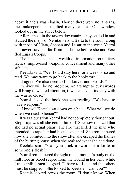above it and a wash basin. Though there were no lanterns, the innkeeper had supplied many candles. One window looked out in the street below.

After a meal in the tavern downstairs, they settled in and studied the maps of Nemtanka and Barta to the south along with those of Ulata, Shenan and Lusar to the west. Yearol had never traveled far from her home before she and Fera fled Luja's troops.

The books contained a wealth of information on military tactics, improvised weapons, concealment and many other subjects.

Keetala said, "We should stay here for a week or so and read. We may want to go back to the bookstore."

"I agree. We also need to find knives and swords."

"Knives will be no problem. An attempt to buy swords will bring unwanted attention, if we can even find any with the war so close."

Yearol closed the book she was reading. "We have to have weapons."

"I know." Keetala sat down on a bed. "What will we do when we reach Shenan?"

It was a question Yearol had not completely thought out. Stop Luja was all she could think of. She now realized that she had no actual plans. The fire that killed the man who intended to rape her had been accidental. She remembered how she vomited into the snow after she escaped the flames of the burning house when she realized what she had done.

Keetala said, "Can you stick a sword or a knife in someone's flesh?"

Yearol remembered the sight of her mother's body on the mill floor as blood seeped from the wound in her belly while Luja's militiamen laughed. "I have to. Luja and the others must be stopped." She looked to Keetala. "Can you?"

Keetala looked across the room. "I don't know. When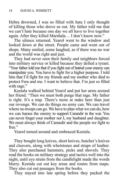Hebra drowned, I was so filled with hate I only thought of killing those who drove us out. My father told me that we can't hate because one day we all have to live together again. After they killed Marshala… I don't know now."

The silence returned. Yearol went to the window and looked down at the street. People came and went out of shops. Many smiled, some laughed, as if there was no war and the world was right and just.

They had never seen their family and neighbors forced into military service or killed because they defied a tyrant. "Your father told me that if you fight out of hatred your enemy can manipulate you. You have to fight for a higher purpose. I told him that I'd fight for my friends and my mother who died to protect Fera and me. I want to believe that. I'm just so filled with rage."

Keetala walked behind Yearol and put her arms around her friend. "Then we must both purge that rage. My father is right. It's a trap. There's more at stake here than just our revenge. We can do things no army can. We can travel where no troops can go. We have to plan what we can do, how we can harass the enemy to support Carandir in the war. You can never forget your mother nor I, my husband and daughter. We must always think of Carandir and the people we fight to free."

Yearol turned around and embraced Keetala.

They bought long knives, short knives, butcher's knives and cleavers, along with whetstones and straps of leather. They also purchased hammers, picks and shovels. They read the books on military strategy and tactics well into the night, until eye strain from the candlelight made the words blurry. Keetala cut out key areas and routes from maps. They also cut out passages from the books.

They stayed into late spring before they packed the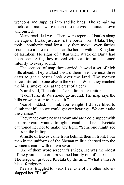weapons and supplies into saddle bags. The remaining books and maps were taken into the woods outside town and buried.

Many roads led west. There were reports of battles along the edge of Barta, just across the border form Ulata. They took a southerly road for a day, then moved even farther south, into a forested area near the border with the Kingdom of Karaken. No signs of a Karakien attack on Barta had been seen. Still, they moved with caution and listened intently to every sound.

The sections of map they carried showed a set of high hills ahead. They walked toward them over the next three days to get a better look over the land. The women encountered no one else in the woods. When they reached the hills, smoke rose at the crest of a peak.

Yearol said, "It could be Carandirians or traitors."

"I don't like it. We should go around. The map says the hills grow shorter to the south."

Yearol nodded. "I think you're right. I'd have liked to climb that hill so we could get our bearings. We can't take the chance."

They made camp near a stream and ate a cold supper with no fire. Yearol wanted to light a candle and read. Keetala cautioned her not to make any light. "Someone might see us from the hilltop."

A rustle of leaves came from behind, then in front. Four men in the uniforms of the Shenan militia charged into the women's camp with drawn swords.

One of them wore sergeant's stripes. He was the oldest of the group. The others seemed hardly out of their teens. The sergeant grabbed Keetala by the arm. "What's this? A black foreigner?"

Keetala struggled to break free. One of the other soldiers slapped her. "Be still."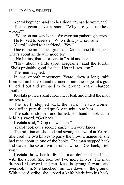Yearol kept her hands to her sides. "What do you want?"

The sergeant gave a snort. "Why are you in these woods?"

"We're on our way home. We were out gathering berries." He looked to Keetala. "Who's this, your servant?"

Yearol looked to her friend. "Yes."

One of the militiamen grunted. "Dark-skinned foreigners. That's about all they're good for."

"No brains, that's for certain," said another.

"How about a little sport, sergeant?" said the fourth. "She's probably good for that. Her mistress too."

The men laughed.

In one smooth movement, Yearol drew a long knife from within her coat and rammed it into the sergeant's gut. He cried out and slumped to the ground. Yearol charged another.

Keetala pulled a knife from her cloak and killed the man nearest to her.

The fourth stepped back, then ran. The two women took off in pursuit and quickly caught up to him.

The soldier stopped and turned. His hand shook as he held his sword. "Get back."

Keetala said, "Drop the weapon."

Yearol took out a second knife. "On your knees."

The militiaman shouted and swung his sword at Yearol. She used the two knives to parry the blow, a maneuver she had read about in one of the books. The man stepped back and waved the sword with erratic swipes. "Get back, I tell you."

Keetala threw her knife. The man deflected the blade with the sword. She took out two more knives. The man dropped his sword and ran. Keetala sprung forward and overtook him. She knocked him face down on the ground. With a hard strike, she jabbed a knife blade into his back.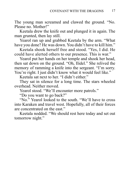The young man screamed and clawed the ground. "No. Please no. Mother!"

Keetala drew the knife out and plunged it in again. The man grunted, then lay still.

Yearol ran up and grabbed Keetala by the arm. "What have you done? He was down. You didn't have to kill him."

Keetala shook herself free and stood. "Yes, I did. He could have alerted others to our presence. This is war."

Yearol put her hands on her temple and shook her head, then sat down on the ground. "Oh, Ilidel." She relived the memory of ramming a knife into the sergeant. "I'm sorry. You're right. I just didn't know what it would feel like."

Keetala sat next to her. "I didn't either."

They sat in silence for a long time. The stars wheeled overhead. Neither moved.

Yearol stood. "We'll encounter more patrols."

"Do you want to go back?"

"No." Yearol looked to the south. "We'll have to cross into Karaken and travel west. Hopefully, all of their forces are concentrated on the east."

Keetala nodded. "We should rest here today and set out tomorrow night."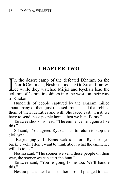#### **CHAPTER TWO**

I<br>col n the desert camp of the defeated Dharam on the North Continent, Neshra stood next to Sif and Tarawee while they watched Mirjel and Ryckair lead the column of Carandir soldiers into the west, on their way to Kackar.

Hundreds of people captured by the Dharam milled about, many of them just released from a spell that robbed them of their identities and will. She faced east. "First, we have to send these people home, then we hunt Baras."

Tarawee shook his head. "The eminence isn't gonna like this."

Sif said, "You agreed Ryckair had to return to stop the civil war"

"Begrudgingly. If Baras wakes before Ryckair gets back… well, I don't want to think about what the eminence will do to us."

Neshra said, "The sooner we send these people on their way, the sooner we can start the hunt."

Tarawee said, "You're going home too. We'll handle this."

Neshra placed her hands on her hips. "I pledged to lead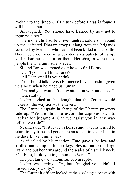Ryckair to the dragon. If I return before Baras is found I will be dishonored."

Sif laughed. "You should have learned by now not to argue with her."

The monarchs had left five-hundred soldiers to round up the defeated Dharam troops, along with the brigands recruited by Masalta, who had not been killed in the battle. These were confined in a guarded area outside of camp. Neshra had no concern for them. Her charges were those people the Dharam had enslaved.

Sif and Tarawee argued over how to find Baras.

"Can't you smell him, Taree?"

"All I can smell is your stink."

"You should talk. I wish Eminence Levalat hadn't given me a nose when he made us human."

"Oh, and you wouldn't draw attention without a nose." "Oh, shut up."

Neshra sighed at the thought that the Zerites would bicker all the way across the desert.

The Carandir captain in charge of the Dharam prisoners rode up. "We are about to escort the captives back to Kackar for judgment. Can we assist you in any way before we ride?"

Neshra said, "Just leave us horses and wagons. I need to return to my tribe and get a peretan to continue our hunt in the desert. I sent mine back."

As if called by his mention, Ento gave a bellow and strolled into camp on his six legs. Neshra ran to the large lizard and put her arms around the scales of his thick neck. "Oh, Ento, I told you to go home to Verka."

The peretan gave a mournful coo in reply.

Neshra was crying. "Oh, but I'm glad you didn't. I missed you, you silly."

The Carandir officer looked at the six-legged beast with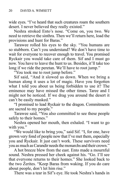wide eyes. "I've heard that such creatures roam the southern desert. I never believed they really existed."

Neshra stroked Ento's nose. "Come on, you two. We need to retrieve the sinthra. Then we'll return here, load the provisions and hunt for Baras."

Tarawee rolled his eyes to the sky. "You humans are so stubborn. Can't you understand? We don't have time to wait for everyone to recover enough to travel. You promised Ryckair you would take care of them. Sif and I must go now. You have to leave the hunt to us. Besides, it'll take too long if we ride the peretan. We'll have to root jump."

"You took me to root jump before."

Sif said, "And it slowed us down. When we bring a human along it uses a lot of magic. Have you forgotten what I told you about us being forbidden to use it? The eminence may have missed the other times. Taree and I might not be noticed. If we drag you around the desert it can't be easily masked."

"I promised to lead Ryckair to the dragon. Commitments are sacred to my people."

Tarawee said, "You also committed to see these people safely to their homes."

Neshra opened her mouth, then exhaled. "I want to go with you."

"We would like to bring you," said Sif. "I, for one, have grown very fond of people now that I've met them, especially you and Ryckair. It just can't work. These survivors need you as much as Carandir needs the monarchs and their crown."

A hot breeze blew from the east. Ento made a mournful sound. Neshra pressed her cheek against his. "Go. I'll see that everyone returns to their homes." She looked back to the two Zerites. "Keep Baras from waking. If you do care about people, don't let him rise."

There was a tear in Sif's eye. He took Neshra's hands in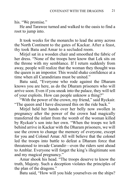his. "We promise."

He and Tarawee turned and walked to the oasis to find a root to jump into.

It took weeks for the monarchs to lead the army across the North Continent to the gates of Kackar. After a feast, thy took Batu and Amar to a secluded room.

Mirjel sat in a wooden chair and smoothed the fabric of her dress. "None of the troops here know that Lek sits on the throne with my semblance. If I return suddenly from away, people will realize that the woman they thought was the queen is an impostor. This would shake confidence at a time when all Carandirians must be united."

Batu said, "Everyone who rode against the Dharam knows you are here, as do the Dharam prisoners who will arrive soon. Even if you sneak into the palace, they will tell of your exploits. How can people unknow a thing?"

"With the power of the crown, my friend," said Ryckair. "The queen and I have discussed this on the ride back."

Mirjel held her hands over her belly now swollen in pregnancy after the power of the crown had magically transferred the infant from the womb of the woman killed by Ryckair's son into her own. "When the troops we left behind arrive in Kackar with the Dharam prisoners, we will use the crown to change the memory of everyone, except for you and Colonel Amar. All will believe that the colonel led the troops into battle to defeat a Dharam force that threatened to invade Carandir—even the riders sent ahead to Amblar. Everyone will forget the king's illegitimate son and my magical pregnancy."

Amar shook his head. "The troops deserve to know the truth, Majesty. Such a deception violates the principles of the plan of the dragons."

Batu said, "How will you hide yourselves on the ships?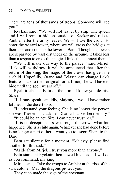There are tens of thousands of troops. Someone will see you."

Ryckair said, "We will not travel by ship. The queen and I will remain hidden outside of Kackar and ride to Amblar after the army leaves. We will use the crown to enter the wizard tower, where we will cross the bridges at their tops and come to the tower in Barta. Though the towers are separated by vast distances on the ground, it takes less than a tespan to cross the magical links that connect them."

"We will make our way to the palace," said Mirjel. "Lek will withdraw. It will be announced that after the return of the king, the magic of the crown has given me a child. Hopefully, Orane and Telasec can change Lek's features back to their original form. If not, she will have to hide until the spell wears off."

Ryckair clasped Batu on the arm. "I know you despise Shara"

"If I may speak candidly, Majesty, I would have rather left her in the desert to rot."

"I understand your feeling. She is no longer the person she was. The demon that killed Dhamar blanked her memory."

"It could be an act, Sire. I can never trust her."

"It is no deception. I saw through the crown what has happened. She is a child again. Whatever she had done before is no longer a part of her. I want you to escort Shara to the Daro<sup>"</sup>

Batu sat silently for a moment. "Majesty, please find another for this task."

"Aside from Mirjel, I trust you more than anyone."

Batu stared at Ryckair, then bowed his head. "I will do as you command, my king."

Mirjel said, "Take the troops to Amblar at the rise of the sun, colonel. May the dragons protect you."

They each made the sign of the covenant.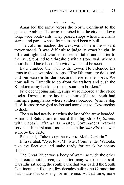#### $99 + 89$

Amar led the army across the North Continent to the gates of Amblar. The army marched into the city and down long, wide boulevards. They passed shops where merchants stared and parks whose fountains had been rebuilt.

The column reached the west wall, where the wizard tower stood. It was difficult to judge its exact height. In different light and weather, it seemed taller and shorter to the eye. Steps led to a threshold with a stone wall where a door should have been. No windows could be seen.

Batu climbed the wall to the tower. He extended his arms to the assembled troops. "The Dharam are defeated and our eastern borders secured here in the north. We now sail to Carandir to confront the traitors and push the Karakien army back across our southern borders."

Five oceangoing sailing ships were moored at the stone docks. Dozens more lay in anchor offshore. Each had multiple gangplanks where soldiers boarded. When a ship filled, its captain weighed anchor and moved out to allow another to dock.

The sun had nearly set when the last of the army boarded. Amar and Batu came onboard the flag ship *Vigilance,* with Captain Efra as its master. Commander Watoola served as his first mate, as she had on the *Star Fire* that was sunk by the Sarte.

Batu said, "Take us up the river to Meth, Captain."

Efra saluted. "Aye, First Minister. Commander Watoola, take the fleet out and make ready for attack by enemy ships."

The Great River was a body of water so wide the other bank could not be seen, even after many weeks under sail. Carandir sat along the south bank that was called the South Continent. Until only a few decades before, no Carandirian had made that crossing for millennia. At that time, none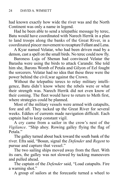had known exactly how wide the river was and the North Continent was only a name in legend.

Had he been able to send a telepathic message by terec, Batu would have coordinated with Narech Herrik in a plan to land troops along the banks of the Great River, in a coordinated pincer movement to recapture Fellant and Lena.

A Kyar named Velatar, who had been driven mad by a demon, cast a spell on the small birds. No terec could now fly.

Baroness Luja of Shenan had convinced Velatar the Barasha were using the birds to attack Carandir. She told him she, Barons Womb of Petala and Gilyon of Eel fought the sorcerers. Velatar had no idea that these three were the power behind the civil,war against the Crown.

Without the telepathic terecs to relay military intelligence, Batu didn't know where the rebels were or what their strength was. Narech Herrik did not even know of their coming. The fleet would have to return to Meth first, where strategies could be planned.

Most of the military vessels were armed with catapults, fore and aft. They tacked up the Great River for several weeks. Eddies of currents made navigation difficult. Each captain had to keep constant vigil.

A cry came from a sailor in the crow's nest of the *Vigilance*. "Ship ahoy. Rowing galley flying the flag of Petala."

The galley turned about back toward the south bank of the river. Efra said, "Bosun, signal the *Defender* and *Regent* to pursue and capture that vessel."

The two sailing ships moved away from the fleet. With its oars, the galley was not slowed by tacking maneuvers and pulled ahead.

The captain of the *Defender* said, "Load catapults. Fire a warning shot."

A group of sailors at the forecastle turned a wheel to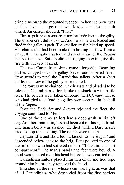bring tension to the mounted weapon. When the bowl was at deck level, a large rock was loaded and the catapult aimed. An ensign shouted, "Fire."

The catapult threw a stone in an arc that landed next to the galley. The smaller craft did not slow. Another stone was loaded and fired in the galley's path. The smaller craft picked up speed. Hot chains that had been soaked in boiling oil flew from a catapult in the galley's stern and struck a sail of the *Regent* that set it ablaze. Sailors climbed rigging to extinguish the fire with buckets of sand.

The two Carandirian ships came alongside. Boarding parties charged onto the galley. Seven outnumbered rebels drew swords to repel the Carandirian sailors. After a short battle, the crew of the galley surrendered.

The rowers were chained in their seats and pleaded to be released. Carandirian sailors broke the shackles with battle axes. The rowers were taken on board the *Defender*. Those who had tried to defend the galley were secured in the hull of the *Regent*.

Once the *Defender* and *Regent* rejoined the fleet, the voyage continued to Meth.

One of the enemy sailors had a deep gash in his left leg. Another man's fingers had been cut off his right hand. One man's belly was slashed. He died while a Daro healer tried to stop the bleeding. The others were unhurt.

Captain Efra and Batu took a launch to the *Regent* and descended below deck to the brig. Batu pointed to one of the prisoners who had suffered no hurt. "Take him to an aft compartment." The man's hands and feet were bound. A hood was secured over his head before he was carried out.

Carandirian sailors placed him in a chair and tied rope around him before they removed the hood.

Efra studied the man, whose skin was light, as was that of all Carandirians who descended from the first settlers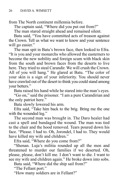from The North continent millennia before.

The captain said, "Where did you put out from?"

The man stared straight ahead and remained silent.

Batu said, "You have committed acts of treason against the Crown. Tell us what we want to know and your sentence will go easier."

The man spit in Batu's brown face, then looked to Efra. "It is you and your monarchs who allowed the easterners to become the new nobility and foreign scum with black skin from the south and brown faces from the deserts to live here. They tried to steal Carandir. We will crush the Crown. All of you will hang." He glared at Batu. "The color of your skin is a sign of your inferiority. You should never have crawled out of the desert to think you could stand among your betters."

Batu raised his hand while he stared into the man's eyes.

"Go on," said the prisoner. "I am a pure Carandirian and the only patriot here."

Batu slowly lowered his arm.

Efra said, "Take him back to the brig. Bring me the one with the wounded leg."

The second man was brought in. The Daro healer had cast a spell and bandaged the wound. The man was tied to the chair and the hood removed. Tears poured down his face. "Please. I had to. Oh, Jorondel, I had to. They would have killed my wife and children."

Efra said, "Where do you come from?"

"Shenan. Luja's militia rounded up all the men and threatened to murder our families if we deserted. Oh, please, please, don't kill me. I don't want to die. I want to see my wife and children again." He broke down into sobs.

Batu said, "Where did the ship sail from?"

"The Fellant port."

"How many soldiers are in Fellant?"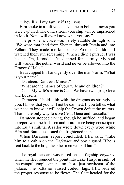"They'll kill my family if I tell you."

Efra spoke in a soft voice. "No one in Fellant knows you were captured. The others from your ship will be imprisoned in Meth. None will ever know what you say."

The prisoner's voice was barely audible through sobs. "We were marched from Shenan, through Petala and into Fellant. They made me kill people. Women. Children. I watched them run screaming. When I didn't pursue, I was beaten. Oh, Jorondel. I'm damned for eternity. My soul will wander the nether world and never be allowed into the Dragons' Halls."

Batu cupped his hand gently over the man's arm. "What is your name?"

"Darateen. Darateen Minser."

"What are the names of your wife and children?"

"Cela. My wife's name is Cela. We have two girls, Gena and Lousella."

"Darateen, I hold faith with the dragons as strongly as you. I know that you will not be damned. If you tell us what we need to know, it will help the Crown defeat the traitors. That is the only way to save Cela, Gena and Lousella."

Darateen stopped crying, though he sniffled, and began to report what he had seen and heard since being conscripted into Luja's militia. A sailor wrote down every word while Efra and Batu questioned the frightened man.

When Darateen' report concluded, Efra said, "Take him to a cabin on the *Defender* and post a guard. If he is sent back to the brig, the other men will kill him."

The royal standard was raised on the flagship *Vigilance* when the fleet rounded the point into Lake Hasp, in sight of the catapult emplacements on shore just northeast of the palace. The battalion raised coded flags. Efra ordered the proper response to be flown. The fleet headed for the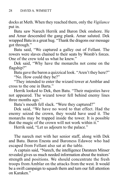docks at Meth. When they reached them, only the *Vigilance* put in.

Batu saw Narech Herrik and Baron Dek onshore. He and Amar descended the gang plank. Amar saluted. Dek wrapped Batu in a great hug. "Thank the dragons our message got through."

Batu said, "We captured a galley out of Fellant. The rowers were slaves chained to their seats by Womb's forces. One of the crew told us what he knew."

Dek said, "Why have the monarchs not come on the flagship?"

Batu gave the baron a quizzical look. "Aren't they here?" "No. How could they be?"

"They intended to enter the wizard tower at Amblar and cross to the one in Barta."

Herrik looked to Dek, then Batu. "Their majesties have not appeared. The wizard tower fell behind enemy lines three months ago."

Batu's mouth fell slack. "Were they captured?"

Dek said, "We have no word to that effect. Had the enemy seized the crown, they would have used it. The monarchs may be trapped inside the tower. It is possible that the magic of the crown will not work within it."

Herrik said, "Let us adjourn to the palace."

The narech met with her senior staff, along with Dek and Batu. Baron Enesta and Baroness Edawee who had escaped from Fellant also sat at the table.

A captain said, "Narech, the intelligence Darateen Minser revealed gives us much needed information about the traitors' strength and positions. We should concentrate the fresh troops from Amblar on the attacks from the west. It would be a swift campaign to squash them and turn our full attention on Karaken."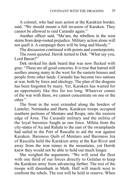A colonel, who had seen action at the Karakien border, said, "We should mount a full invasion of Karaken. They cannot be allowed to raid Carandir again."

Another officer said, "Ma'am, the rebellion in the west stems from deep-rooted prejudice. Military action alone will not quell it. A campaign there will be long and bloody."

The discussion continued with points and counterpoints.

The room quieted. Herrik turned to Dek. "What say you, Lord Baron?"

Dek stroked his dark beard that was now flecked with gray. "These are all good concerns. It is true that hatred still seethes among many in the west for the eastern houses and people from other lands. Carandir has become two nations at war, both by force and ideology. The plan of the dragons has been forgotten by many. Yet, Karaken has waited for an opportunity like this for too long. Whatever comes of the war with them, we cannot concentrate on one or the other."

The front in the west extended along the borders of Lanteler, Nemtanka and Barta. Karakien troops occupied southern portions of Mentaro and Respa, into the eastern edge of Arna. The Carandir military and the militia of the loyal baronies fought as one force. Militia from the city-states of Au and Rahala to the east of the swamplands had sailed to the Port of Rascalla to aid the war against Karaken. Baroness Quib of Mentaro and Baroness Jea of Rascalla held the Karakien army at the Kar River and away from the iron mines in the mountains, yet Herrik knew they would not be able to hold out much longer.

She weighed the arguments. "We will send the fleet with one third of our forces directly to Gelalan to keep the Karakien army from advancing farther. The rest of the troops will disembark in Meth. Half will march west to confront the rebels. The rest will be held in reserve. When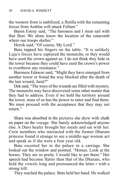the western front is stabilized, a flotilla with the remaining forces from Amblar will attack Fellant."

Baron Estray said, "The baroness and I must sail with that fleet. We alone know the location of the catacomb where our troops shelter."

Herrik said, "Of course, My Lord."

Batu tapped his fingers on the table. "It is unlikely Luja's forces have captured the monarchs, or they would have used the crown against us. I do not think they hide in the tower because they could have used the crown's power to overthrow any resistance."

Baroness Edawee said, "Might they have emerged from another tower or found the way blocked after the death of the last wizard, Jarat?"

Dek said, "The ways of the wizards are filled with mystery. The monarchs may have discovered some other matter that they had to address. Even if we held the territory around the tower, none of us has the power to enter and find them. We must proceed with the acceptance that they may not return<sup>"</sup>

Shara was absorbed in the pictures she drew with chalk on paper on the voyage. She barely acknowledged anyone else. A Daro healer brought her meals and sat with her. Crew members who interacted with the former Dharam princess found it strange to see a middle-age woman act and speak as if she were a four year old.

Batu escorted her to the palace in a carriage. She looked out the window and pointed. "Horses. Look at the horses. They are so pretty. I would like to pet them." Her speech had become flatter than that of the Dharam, who held the vowels long and pronounced the letter *r* with a strong trill.

They reached the palace. Batu held her hand. He walked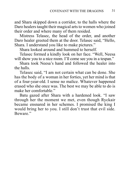and Shara skipped down a corridor, to the halls where the Daro healers taught their magical arts to women who joined their order and where many of them resided.

Mistress Telasec, the head of the order, and another Daro healer greeted them at the door. Telasec said, "Hello, Shara. I understand you like to make pictures."

Shara looked around and hummed to herself.

Telasec formed a kindly look on her face. "Well, Neesa will show you to a nice room. I'll come see you in a tespan."

Shara took Neesa's hand and followed the healer into the halls.

Telasec said, "I am not certain what can be done. She has the body of a woman in her forties, yet her mind is that of a four-year-old. I sense no malice. Whatever happened erased who she once was. The best we may be able to do is make her comfortable."

Batu gazed after Shara with a hardened look. "I saw through her the moment we met, even though Ryckair became ensnared in her schemes. I promised the king I would bring her to you. I still don't trust that evil side. Beware."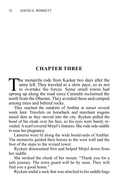#### **CHAPTER THREE**

The monarchs rode from Kackar two days after the army left. They traveled at a slow pace, so as not to overtake the forces. Some small towns had sprung up along the road since Carandir reclaimed the army left. They traveled at a slow pace, so as not to overtake the forces. Some small towns had sprung up along the road since Carandir reclaimed the north from the Dharam. They avoided these and camped among trees and behind rocks.

They reached the outskirts of Amblar at sunset several week later. Travelers on horseback and merchant wagons raised dust as they moved into the city. Ryckair pulled the hood of his cloak over his face, so his eyes were barely revealed. A scarf covered Mirjel's features. She rode side-saddle to ease her pregnancy.

Lanterns were lit along the wide boulevards of Amblar. The monarchs guided their horses to the west wall and the foot of the steps to the wizard tower.

Ryckair dismounted first and helped Mirjel down from her saddle.

She stroked the cheek of her mount. "Thank you for a safe journey. The town guard will be by soon. They will find you a good home."

Ryckair undid a sack that was attached to his saddle bags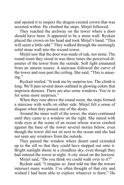and opened it to inspect the dragon-crested crown that was secreted within. He climbed the steps. Mirjel followed.

They reached the archway on the tower where a door should have been. It appeared to be a stone wall. Ryckair placed the crown on his head and took Mirjel's hand. "This will seem a little odd." They walked through the seemingly solid stone wall into the wizard tower.

Mirjel saw that the door was made of oak, not stone. The round room they stood in was three times the perceived diameter of the tower from the outside. Soft light emanated from an unseen source. A staircase followed the curve of the tower and rose past the ceiling. She said, "This is amazing."

Ryckair smiled. "It took me by surprise too. The climb is long. We'll pass several doors outlined in glowing colors that imprison demons. There are also some windows. You're in for some more surprises."

When they rose above the round room, the steps formed a staircase with walls on either side. Mirjel felt a sense of disgust when they passed one of the doors.

Around the inner wall of the tower, the stairs continued until they came to a window on the right. She stared with wide eyes at the scene of an ocean whose waves crashed against the base of the tower several stories below, even though the tower did not sit next to the ocean and she had not seen any windows from the outside.

They passed the window where desert sand extended up to the sill so that they could have stepped out onto it. Bright sunlight shone in a cloudless sky, even though they had entered the tower at night. A city stood on the horizon.

Mirjel said, "Do you think we could walk over to it?"

Ryckair said, "I imagine so. Jarat told me that the towers intersect many worlds. I've often thought of that city and wished I had been able to explore whatever is there." He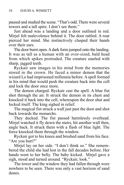paused and studied the scene. "That's odd. There were several towers and a tall spire. I don't see them."

Just ahead was a landing and a door outlined in red. Mirjel felt malevolence behind it. The door rattled. A roar pierced her mind. She instinctively clasped their hands over their ears.

The door burst open. A dark form jumped onto the landing. It was as tall as a human with an over-sized, bald head from which spikes protruded. The creature snarled with sharp, jagged teeth.

Ryckair saw images in his mind from the memories stored in the crown. He faced a minor demon that the wizard Lo had imprisoned millennia before. A spell formed in his mind that would push the creature back into the cell and lock the door once more.

The demon charged. Ryckair cast the spell. A blue fist shot through the air. It struck the demon in its chest and knocked it back into the cell, whereupon the door shut and locked itself. The king sighed in relief.

The magical fist struck a wall just past the door and shot back towards the monarchs.

They ducked. The fist passed harmlessly overhead. Mirjel watched it fly down the stairs, hit another wall then, angle back. It struck them with a flash of blue light. The force knocked them through the window.

Ryckair got to his knees and brushed sand from his face. "Are you hurt?"

Mirjel lay on her side. "I don't think so." She remembered the child she had lost in the fall decades before. Her hands went to her belly. The baby kicked. Mirjel gave a sigh, stood and turned around. "Ryckair, look."

The tower and the window they had fallen through were nowhere to be seen. There was only a vast horizon of sand dunes.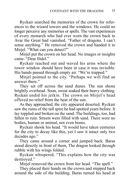Ryckair searched the memories of the crown for references to the wizard towers and the windows. He could no longer perceive any memories or spells. The vast experiences of every monarch who had ever worn the crown back to Avar the Great had vanished. "Father of dragons. I can't sense anything." He removed the crown and handed it to Mirjel. "What can you detect?"

Mirjel put the crown on her head. No images or insights came. "Dear Ilidel."

Ryckair reached out and waved his arms where the tower window should have been in case it was invisible. His hands passed through empty air. "We're trapped."

Mirjel pointed to the city. "Perhaps we will find an answer there."

They set off across the sand dunes. The sun shone brightly overhead. Soon, sweat soaked their heavy clothing. Ryckair undid his jerkin. The crown on Mirjel's head offered no relief from the heat of the sun.

As they approached, the city appeared deserted. Ryckair saw the ruins of the tall spire he had spotted years before. It lay toppled and broken on the sand. The buildings, too, had fallen to ruin. Streets were filled with sand. There were no bodies, human or animal, not even bones.

Ryckair shook his head. "It would have taken centuries for the city to decay like this, yet I saw it intact only two decades ago."

They came around a corner and jumped back. Baras stood directly in front of them, The dragon looked through rubble with his wings folded.

Ryckair whispered, "This explains how the city was destroyed."

Mirjel removed the crown from her head. "The spell."

They placed their hands on the crown and stepped back around the side of the building. Baras turned his head at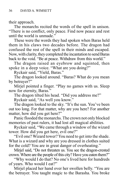their approach.

The monarchs recited the words of the spell in unison. "There is no conflict, only peace. Find now peace and rest until the world is unmade."

These were the words they had spoken when Baras held them in his claws two decades before. The dragon had confused the rest of the spell in their minds and escaped. Now, with clarity, they completed the incantation to send Baras back to the void. "Be at peace. Withdraw from this world."

The dragon raised an eyebrow and squinted, then spoke in a deep voice. "What are you doing?"

Ryckair said, "Yield, Baras."

The dragon looked around. "Baras? What do you mean by betrayer?"

Mirjel pointed a finger. "Play no games with us. Sleep now for eternity, Baras."

The dragon tilted his head. "Did you address me?"

Ryckair said, "As well you know."

The dragon looked to the sky. "It's the sun. You've been out too long. For that matter, why are you here? For another matter, how did you get here?"

Panic flooded the monarchs. The crown not only blocked memories of past rulers, it had lost all magical abilities.

Ryckair said, "We came through a window of the wizard tower. How did you get here, evil one?"

"Evil one? Wizard tower? You need to get into the shade. What is a wizard and why are you dressed in clothes suited for the cold? You are in great danger of overheating."

Mirjel said, "Do not threaten us. You see the dragon-crested crown. Where are the people of this city? Have you eaten them?"

"Why would I do that? No one's lived here for hundreds of years. Who would I eat?"

Mirjel placed her hand over her swollen belly. "You are the betrayer. You taught magic to the Barasha. You broke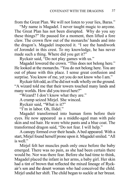from the Great Plan. We will not listen to your lies, Baras."

"My name is Magadel. I never taught magic to anyone. The Great Plan has not been disrupted. Why do you say these things?" He paused for a moment, then lifted a fore claw. The crown flew out of the monarchs' hands and into the dragon's. Magadel inspected it. "I see the handiwork of Jorondel in this crest. To my knowledge, he has never made such a thing. Where did you get it?"

Ryckair said, "Do not play games with us."

Magadel lowered the crown. "This does not belong here." He looked at the monarchs. "You do not belong here. You are out of phase with this place. I sense great confusion and surprise. You know of me, yet you do not know who I am."

Ryckair felt odd, as if he did not walk wholly on the ground. "A wizard told me that their towers touched many lands and many worlds. How did you travel here?"

"Wizard? I don't know what they are."

A cramp seized Mirjel. She winced.

Ryckair said, "What is it?"

"I'm in labor. Oh, Ilidel."

Magadel transformed into human form before their eyes. He now appeared as a middle-aged man with pale skin and red hair. He wore white pants and a blue coat. The transformed dragon said, "Do not fear. I will help."

A canopy formed over their heads. A bed appeared. With a start, Mirjel found herself prone upon it. Magadel smiled. "All is well."

Mirjel felt her muscles push only once before the baby emerged. There was no pain, as she had been certain there would be. Nor was there fear. Before she had time to think, Magadel placed the infant in her arms, a baby girl. Her skin had a tint of brown that reflected the mixed lineage of Ryckair's son and the desert woman who had conceived the child. Mirjel undid her shift. The child began to suckle at her breast.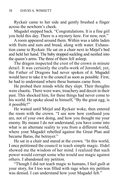Ryckair came to her side and gently brushed a finger across the newborn's cheek.

Magadel stepped back. "Congratulations. It is a fine girl you hold this day. There is a mystery here. For now, rest."

A room appeared around them. Within was a table laden with fruits and nuts and bread, along with water. Exhaustion came to Ryckair. He sat on a chair next to Mirjel's bed and held her hand. The baby stopped suckling and nestled into the queen's arms. The three of them fell asleep.

The dragon inspected the crest of the crown in minute detail. It was certainly the crafts-work of Jorondel, yet, the Father of Dragons had never spoken of it. Magadel would have to take it to the council as soon as possible. First, he had to understand where these humans came from.

He probed their minds while they slept. Their thoughts were chaotic. There were wars, treachery and deceit in their past. This shocked him, for these things had never come to his world. He spoke aloud to himself, "By the great egg, is it possible?"

He waited until Mirjel and Ryckair woke, then entered the room with the crown. "I see now how confused you are, not of your own doing, and how you thought me your enemy. By means I do not understand, you have come into what is an alternate reality to you from a different world, where your Magadel rebelled against the Great Plan and became Baras, the betrayer."

He sat in a chair and stared at the crown. "In this world, I once petitioned the council to teach simple magic. Ilidel showed me the wisdom of her mind. I realized that such power would corrupt some who would use magic against others. I abandoned my petition.

"Though I did not teach magic to humans, I feel guilt at your story, for I too was filled with rage when my petition was denied. I can understand how your Magadel felt."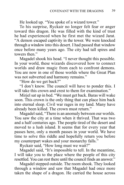He looked up. "You spoke of a wizard tower."

To his surprise, Ryckair no longer felt fear or anger toward this dragon. He was filled with the kind of trust he had experienced when he first met the wizard Jarat. "A demon escaped captivity in the tower. We were knocked through a window into this desert. I had passed that window once before many years ago. The city had tall spires and towers then."

Magadel shook his head. "I never thought this possible. In your world, these wizards discovered how to connect worlds and draw magic from each to confront demons. You are now in one of those worlds where the Great Plan was not subverted and harmony remains."

"How do we get back?"

"I don't know. The council will have to ponder this. I will take this crown and crest to them for examination."

Mirjel sat up in bed. "We must get back. Baras will wake soon. This crown is the only thing that can place him back into eternal sleep. Civil war rages in my land. Many have already been killed. The crown must return."

Magadel said, "There is an anomaly between our worlds. You saw the city at a time when it thrived. That was two and a half centuries ago. The people tired of the desert and moved to a lush island. It seems that for every year that passes here, only a month passes in your world. We have time to solve this riddle and hopefully return you before my counterpart wakes and your monarchy falls."

Ryckair said, "How long must we wait?"

Magadel said, "It's impossible to tell. In the meantime, I will take you to the place where the people of this city resettled. You can rest there until the council finds an answer."

Magadel stepped outside. The room shook. They looked through a window and saw that Magadel had once more taken the shape of a dragon. He carried the house across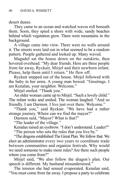desert dunes.

They came to an ocean and watched waves roll beneath them. Soon, they spied a shore with wide, sandy beaches behind which vegetation grew. There were mountains in the background.

A village came into view. There were no walls around it. The streets were laid out in what seemed to be a random pattern. People gathered and looked up. Many waved.

Magadel sat the house down on the outskirts, then hovered overhead. "My dear friends. Here are three people from far away, Ryckair, Mirjel and their newborn infant. Please, help them until I return." He flew off.

Ryckair stepped out of the house. Mirjel followed with the baby in her arms. A young man bowed. "Greetings. I am Kenalan, your neighbor. Welcome."

Mirjel smiled. "Thank you."

An older woman came up to Mirjel. "Such a lovely child." The infant woke and smiled. The woman laughed. "And so friendly. I am Darmon. I live just over there. Welcome."

"Thank you," said Ryckair. "We have had a rather strange journey. Where can we find the mayor?"

Darmon said, "Mayor? What is that?"

"The leader of the village."

Kenalan raised an eyebrow. "I don't understand. Leader?"

"The person who sets the rules that you live by."

"The dragons established The Great Plan. We follow that. We elect an administrator every two years to coordinate trade between communities and organize festivals. Why would we need someone to make more rules? Are there such people where you come from?"

Mirjel said, "We also follow the dragon's plan. Our speech is different. My husband misunderstood."

The tension she had sensed evaporated. Kenalan said, "You must come from far away. I propose a party to celebrate